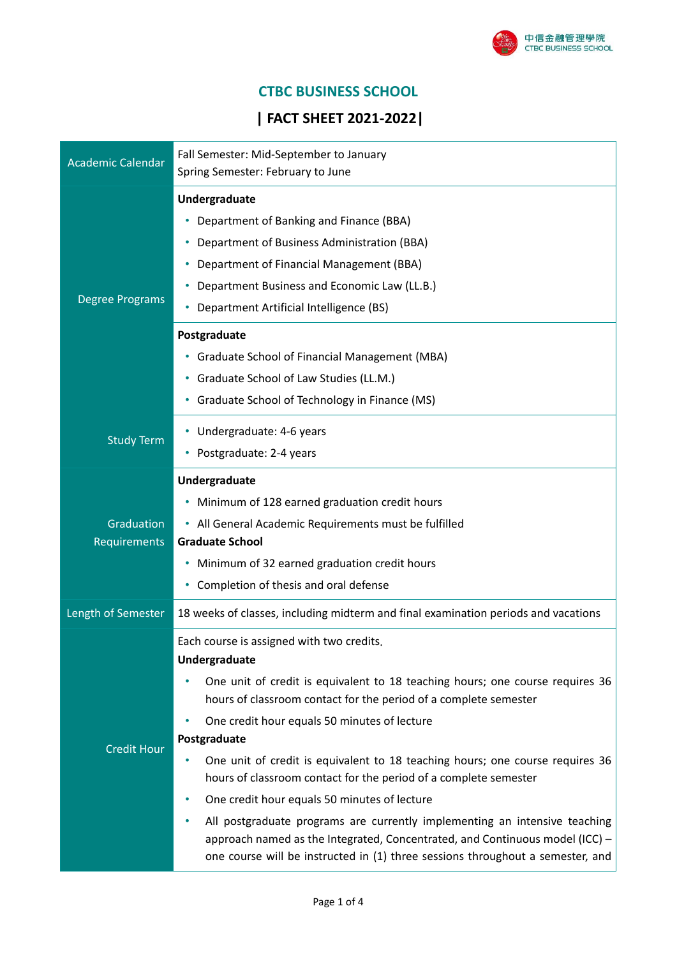

# **CTBC BUSINESS SCHOOL**

# **| FACT SHEET 2021-2022|**

| <b>Academic Calendar</b>   | Fall Semester: Mid-September to January                                                                                                                                                                                                      |  |  |
|----------------------------|----------------------------------------------------------------------------------------------------------------------------------------------------------------------------------------------------------------------------------------------|--|--|
|                            | Spring Semester: February to June                                                                                                                                                                                                            |  |  |
| <b>Degree Programs</b>     | Undergraduate                                                                                                                                                                                                                                |  |  |
|                            | Department of Banking and Finance (BBA)                                                                                                                                                                                                      |  |  |
|                            | Department of Business Administration (BBA)<br>٠                                                                                                                                                                                             |  |  |
|                            | Department of Financial Management (BBA)                                                                                                                                                                                                     |  |  |
|                            | Department Business and Economic Law (LL.B.)                                                                                                                                                                                                 |  |  |
|                            | Department Artificial Intelligence (BS)                                                                                                                                                                                                      |  |  |
|                            | Postgraduate                                                                                                                                                                                                                                 |  |  |
|                            | • Graduate School of Financial Management (MBA)                                                                                                                                                                                              |  |  |
|                            | • Graduate School of Law Studies (LL.M.)                                                                                                                                                                                                     |  |  |
|                            | • Graduate School of Technology in Finance (MS)                                                                                                                                                                                              |  |  |
| <b>Study Term</b>          | • Undergraduate: 4-6 years                                                                                                                                                                                                                   |  |  |
|                            | Postgraduate: 2-4 years<br>٠                                                                                                                                                                                                                 |  |  |
| Graduation<br>Requirements | Undergraduate                                                                                                                                                                                                                                |  |  |
|                            | • Minimum of 128 earned graduation credit hours                                                                                                                                                                                              |  |  |
|                            | • All General Academic Requirements must be fulfilled                                                                                                                                                                                        |  |  |
|                            | <b>Graduate School</b>                                                                                                                                                                                                                       |  |  |
|                            | Minimum of 32 earned graduation credit hours<br>٠                                                                                                                                                                                            |  |  |
|                            | Completion of thesis and oral defense<br>٠                                                                                                                                                                                                   |  |  |
| Length of Semester         | 18 weeks of classes, including midterm and final examination periods and vacations                                                                                                                                                           |  |  |
| <b>Credit Hour</b>         | Each course is assigned with two credits.                                                                                                                                                                                                    |  |  |
|                            | Undergraduate                                                                                                                                                                                                                                |  |  |
|                            | One unit of credit is equivalent to 18 teaching hours; one course requires 36<br>hours of classroom contact for the period of a complete semester                                                                                            |  |  |
|                            | One credit hour equals 50 minutes of lecture                                                                                                                                                                                                 |  |  |
|                            | Postgraduate                                                                                                                                                                                                                                 |  |  |
|                            | One unit of credit is equivalent to 18 teaching hours; one course requires 36<br>٠                                                                                                                                                           |  |  |
|                            | hours of classroom contact for the period of a complete semester                                                                                                                                                                             |  |  |
|                            | One credit hour equals 50 minutes of lecture                                                                                                                                                                                                 |  |  |
|                            | All postgraduate programs are currently implementing an intensive teaching<br>approach named as the Integrated, Concentrated, and Continuous model (ICC) -<br>one course will be instructed in (1) three sessions throughout a semester, and |  |  |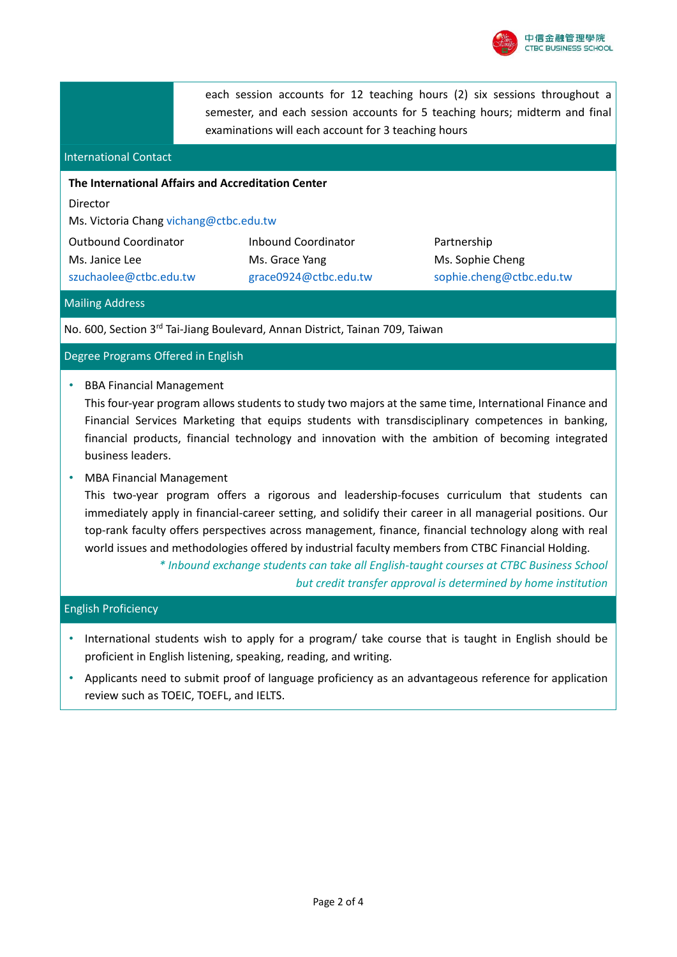

each session accounts for 12 teaching hours (2) six sessions throughout a semester, and each session accounts for 5 teaching hours; midterm and final examinations will each account for 3 teaching hours

#### International Contact

## **The International Affairs and Accreditation Center**

Director

Ms. Victoria Chang vichang@ctbc.edu.tw

Outbound Coordinator Ms. Janice Lee szuchaolee@ctbc.edu.tw Inbound Coordinator Ms. Grace Yang grace0924@ctbc.edu.tw

Partnership Ms. Sophie Cheng sophie.cheng@ctbc.edu.tw

#### Mailing Address

No. 600, Section 3<sup>rd</sup> Tai-Jiang Boulevard, Annan District, Tainan 709, Taiwan

#### Degree Programs Offered in English

• BBA Financial Management

This four-year program allows students to study two majors at the same time, International Finance and Financial Services Marketing that equips students with transdisciplinary competences in banking, financial products, financial technology and innovation with the ambition of becoming integrated business leaders.

#### • MBA Financial Management

This two-year program offers a rigorous and leadership-focuses curriculum that students can immediately apply in financial-career setting, and solidify their career in all managerial positions. Our top-rank faculty offers perspectives across management, finance, financial technology along with real world issues and methodologies offered by industrial faculty members from CTBC Financial Holding.

> *\* Inbound exchange students can take all English-taught courses at CTBC Business School but credit transfer approval is determined by home institution*

#### English Proficiency

- International students wish to apply for a program/ take course that is taught in English should be proficient in English listening, speaking, reading, and writing.
- Applicants need to submit proof of language proficiency as an advantageous reference for application review such as TOEIC, TOEFL, and IELTS.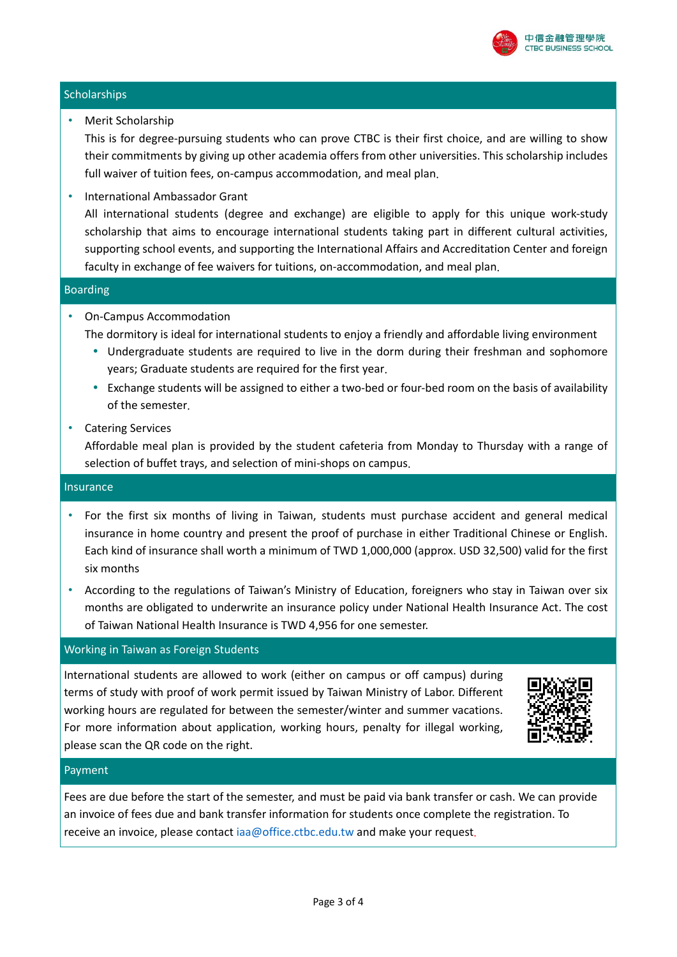

# **Scholarships**

• Merit Scholarship

This is for degree-pursuing students who can prove CTBC is their first choice, and are willing to show their commitments by giving up other academia offers from other universities. This scholarship includes full waiver of tuition fees, on-campus accommodation, and meal plan.

• International Ambassador Grant

All international students (degree and exchange) are eligible to apply for this unique work-study scholarship that aims to encourage international students taking part in different cultural activities, supporting school events, and supporting the International Affairs and Accreditation Center and foreign faculty in exchange of fee waivers for tuitions, on-accommodation, and meal plan.

# Boarding

- On-Campus Accommodation
	- The dormitory is ideal for international students to enjoy a friendly and affordable living environment
		- Undergraduate students are required to live in the dorm during their freshman and sophomore years; Graduate students are required for the first year.
		- Exchange students will be assigned to either a two-bed or four-bed room on the basis of availability of the semester.
- Catering Services

Affordable meal plan is provided by the student cafeteria from Monday to Thursday with a range of selection of buffet trays, and selection of mini-shops on campus.

# Insurance

- For the first six months of living in Taiwan, students must purchase accident and general medical insurance in home country and present the proof of purchase in either Traditional Chinese or English. Each kind of insurance shall worth a minimum of TWD 1,000,000 (approx. USD 32,500) valid for the first six months
- According to the regulations of Taiwan's Ministry of Education, foreigners who stay in Taiwan over six months are obligated to underwrite an insurance policy under National Health Insurance Act. The cost of Taiwan National Health Insurance is TWD 4,956 for one semester.

# Working in Taiwan as Foreign Students

International students are allowed to work (either on campus or off campus) during terms of study with proof of work permit issued by Taiwan Ministry of Labor. Different working hours are regulated for between the semester/winter and summer vacations. For more information about application, working hours, penalty for illegal working, please scan the QR code on the right.



# Payment

Fees are due before the start of the semester, and must be paid via bank transfer or cash. We can provide an invoice of fees due and bank transfer information for students once complete the registration. To receive an invoice, please contact [iaa@office.ctbc.edu.tw](mailto:iaa@office.ctbc.edu.tw) and make your request.